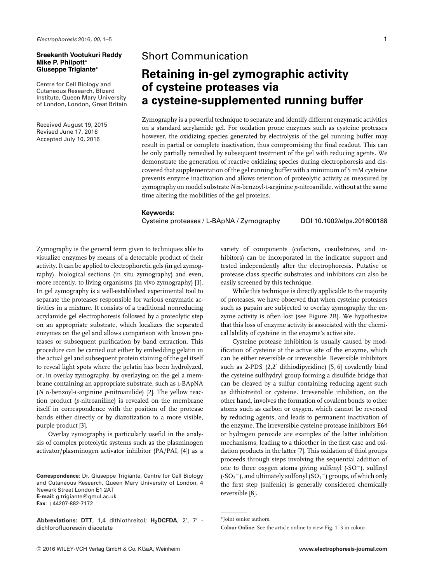### **Sreekanth Vootukuri Reddy Mike P. Philpott<sup>∗</sup> Giuseppe Trigiante<sup>∗</sup>**

Centre for Cell Biology and Cutaneous Research, Blizard Institute, Queen Mary University of London, London, Great Britain

Received August 19, 2015 Revised June 17, 2016 Accepted July 10, 2016

# Short Communication

# **Retaining in-gel zymographic activity of cysteine proteases via a cysteine-supplemented running buffer**

Zymography is a powerful technique to separate and identify different enzymatic activities on a standard acrylamide gel. For oxidation prone enzymes such as cysteine proteases however, the oxidizing species generated by electrolysis of the gel running buffer may result in partial or complete inactivation, thus compromising the final readout. This can be only partially remedied by subsequent treatment of the gel with reducing agents. We demonstrate the generation of reactive oxidizing species during electrophoresis and discovered that supplementation of the gel running buffer with a minimum of 5 mM cysteine prevents enzyme inactivation and allows retention of proteolytic activity as measured by zymography on model substrate *N* α-benzoyl-1-arginine *p-*nitroanilide, without at the same time altering the mobilities of the gel proteins.

#### **Keywords:**

Cysteine proteases / L-BApNA / Zymography DOI 10.1002/elps.201600188

Zymography is the general term given to techniques able to visualize enzymes by means of a detectable product of their activity. It can be applied to electrophoretic gels (in gel zymography), biological sections (in situ zymography) and even, more recently, to living organisms (in vivo zymography) [1]. In gel zymography is a well-established experimental tool to separate the proteases responsible for various enzymatic activities in a mixture. It consists of a traditional nonreducing acrylamide gel electrophoresis followed by a proteolytic step on an appropriate substrate, which localizes the separated enzymes on the gel and allows comparison with known proteases or subsequent purification by band extraction. This procedure can be carried out either by embedding gelatin in the actual gel and subsequent protein staining of the gel itself to reveal light spots where the gelatin has been hydrolyzed, or, in overlay zymography, by overlaying on the gel a membrane containing an appropriate substrate, such as L-BApNA ( $N$   $\alpha$ -benzoyl-L-arginine *p*-nitroanilide) [2]. The yellow reaction product (*p*-nitroaniline) is revealed on the membrane itself in correspondence with the position of the protease bands either directly or by diazotization to a more visible, purple product [3].

Overlay zymography is particularly useful in the analysis of complex proteolytic systems such as the plasminogen activator/plasminogen activator inhibitor (PA/PAI, [4]) as a

**Correspondence**: Dr. Giuseppe Trigiante, Centre for Cell Biology and Cutaneous Research, Queen Mary University of London, 4 Newark Street London E1 2AT **E-mail**: g.trigiante@qmul.ac.uk **Fax**: +44207-882-7172

**Abbreviations: DTT**, 1,4 dithiothreitol; H<sub>2</sub>DCFDA, 2', 7' dichlorofluorescin diacetate

variety of components (cofactors, cosubstrates, and inhibitors) can be incorporated in the indicator support and tested independently after the electrophoresis. Putative or protease class specific substrates and inhibitors can also be easily screened by this technique.

While this technique is directly applicable to the majority of proteases, we have observed that when cysteine proteases such as papain are subjected to overlay zymography the enzyme activity is often lost (see Figure 2B). We hypothesize that this loss of enzyme activity is associated with the chemical lability of cysteine in the enzyme's active site.

Cysteine protease inhibition is usually caused by modification of cysteine at the active site of the enzyme, which can be either reversible or irreversible. Reversible inhibitors such as 2-PDS (2,2' dithiodipyridine) [5, 6] covalently bind the cysteine sulfhydryl group forming a disulfide bridge that can be cleaved by a sulfur containing reducing agent such as dithiotreitol or cysteine. Irreversible inhibition, on the other hand, involves the formation of covalent bonds to other atoms such as carbon or oxygen, which cannot be reversed by reducing agents, and leads to permanent inactivation of the enzyme. The irreversible cysteine protease inhibitors E64 or hydrogen peroxide are examples of the latter inhibition mechanisms, leading to a thioether in the first case and oxidation products in the latter [7]. This oxidation of thiol groups proceeds through steps involving the sequential addition of one to three oxygen atoms giving sulfenyl (-SO−), sulfinyl (-SO<sub>2</sub><sup>-</sup>), and ultimately sulfonyl (SO<sub>3</sub><sup>-</sup>) groups, of which only the first step (sulfenic) is generally considered chemically reversible [8].

<sup>∗</sup>Joint senior authors.

**Colour Online**: See the article online to view Fig. 1–3 in colour.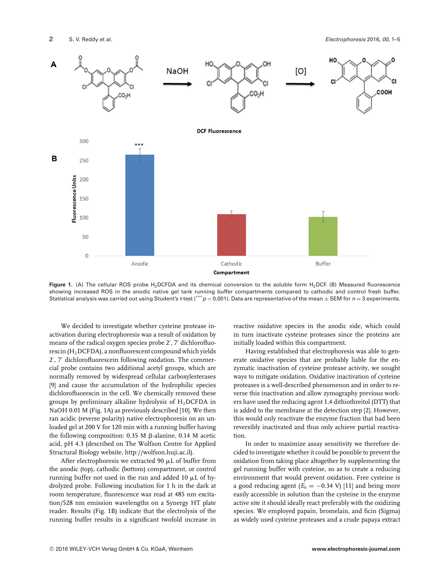

Figure 1. (A) The cellular ROS probe H<sub>2</sub>DCFDA and its chemical conversion to the soluble form H<sub>2</sub>DCF. (B) Measured fluorescence showing increased ROS in the anodic native gel tank running buffer compartments compared to cathodic and control fresh buffer. Statistical analysis was carried out using Student's *t*-test (\*\*\*  $p < 0.001$ ). Data are representative of the mean  $\pm$  SEM for  $n = 3$  experiments.

We decided to investigate whether cysteine protease inactivation during electrophoresis was a result of oxidation by means of the radical oxygen species probe 2', 7' dichlorofluorescin (H<sub>2</sub>DCFDA), a nonfluorescent compound which yields 2', 7' dichlorofluorescein following oxidation. The commercial probe contains two additional acetyl groups, which are normally removed by widespread cellular carboxylesterases [9] and cause the accumulation of the hydrophilic species dichlorofluorescin in the cell. We chemically removed these groups by preliminary alkaline hydrolysis of  $H_2$ DCFDA in NaOH 0.01 M (Fig. 1A) as previously described [10]. We then ran acidic (reverse polarity) native electrophoresis on an unloaded gel at 200 V for 120 min with a running buffer having the following composition:  $0.35$  M  $\beta$ -alanine,  $0.14$  M acetic acid, pH 4.3 (described on The Wolfson Centre for Applied Structural Biology website, [http://wolfson.huji.ac.il\)](http://wolfson.huji.ac.il).

After electrophoresis we extracted 90  $\mu$ L of buffer from the anodic (top), cathodic (bottom) compartment, or control running buffer not used in the run and added 10  $\mu$ L of hydrolyzed probe. Following incubation for 1 h in the dark at room temperature, fluorescence was read at 485 nm excitation/528 nm emission wavelengths on a Synergy HT plate reader. Results (Fig. 1B) indicate that the electrolysis of the running buffer results in a significant twofold increase in

reactive oxidative species in the anodic side, which could in turn inactivate cysteine proteases since the proteins are initially loaded within this compartment.

Having established that electrophoresis was able to generate oxidative species that are probably liable for the enzymatic inactivation of cysteine protease activity, we sought ways to mitigate oxidation. Oxidative inactivation of cysteine proteases is a well-described phenomenon and in order to reverse this inactivation and allow zymography previous workers have used the reducing agent 1,4 dithiothreitol (DTT) that is added to the membrane at the detection step [2]. However, this would only reactivate the enzyme fraction that had been reversibly inactivated and thus only achieve partial reactivation.

In order to maximize assay sensitivity we therefore decided to investigate whether it could be possible to prevent the oxidation from taking place altogether by supplementing the gel running buffer with cysteine, so as to create a reducing environment that would prevent oxidation. Free cysteine is a good reducing agent  $(E_0 = -0.34 \text{ V})$  [11] and being more easily accessible in solution than the cysteine in the enzyme active site it should ideally react preferably with the oxidizing species. We employed papain, bromelain, and ficin (Sigma) as widely used cysteine proteases and a crude papaya extract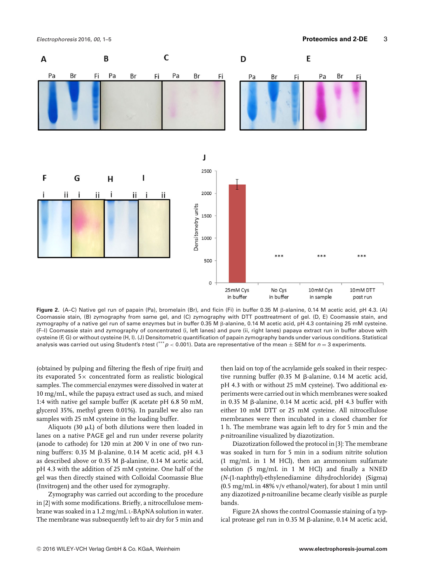

Figure 2. (A–C) Native gel run of papain (Pa), bromelain (Br), and ficin (Fi) in buffer 0.35 M <sub>B</sub>-alanine, 0.14 M acetic acid, pH 4.3. (A) Coomassie stain, (B) zymography from same gel, and (C) zymography with DTT posttreatment of gel. (D, E) Coomassie stain, and zymography of a native gel run of same enzymes but in buffer 0.35 M  $\beta$ -alanine, 0.14 M acetic acid, pH 4.3 containing 25 mM cysteine. (F–I) Coomassie stain and zymography of concentrated (i, left lanes) and pure (ii, right lanes) papaya extract run in buffer above with cysteine (F, G) or without cysteine (H, I). (J) Densitometric quantification of papain zymography bands under various conditions. Statistical analysis was carried out using Student's *<sup>t</sup>*-test (\*\*\**<sup>p</sup> <sup>&</sup>lt;* 0.001). Data are representative of the mean <sup>±</sup> SEM for *<sup>n</sup>* <sup>=</sup> 3 experiments.

(obtained by pulping and filtering the flesh of ripe fruit) and its evaporated  $5\times$  concentrated form as realistic biological samples. The commercial enzymes were dissolved in water at 10 mg/mL, while the papaya extract used as such, and mixed 1:4 with native gel sample buffer (K acetate pH 6.8 50 mM, glycerol 35%, methyl green 0.01%). In parallel we also ran samples with 25 mM cysteine in the loading buffer.

Aliquots (30  $\mu$ L) of both dilutions were then loaded in lanes on a native PAGE gel and run under reverse polarity (anode to cathode) for 120 min at 200 V in one of two running buffers:  $0.35$  M  $\beta$ -alanine,  $0.14$  M acetic acid, pH 4.3 as described above or 0.35 M ß-alanine, 0.14 M acetic acid, pH 4.3 with the addition of 25 mM cysteine. One half of the gel was then directly stained with Colloidal Coomassie Blue (Invitrogen) and the other used for zymography.

Zymography was carried out according to the procedure in [2] with some modifications. Briefly, a nitrocellulose membrane was soaked in a 1.2 mg/mL L-BApNA solution in water. The membrane was subsequently left to air dry for 5 min and

then laid on top of the acrylamide gels soaked in their respective running buffer (0.35 M  $\beta$ -alanine, 0.14 M acetic acid, pH 4.3 with or without 25 mM cysteine). Two additional experiments were carried out in which membranes were soaked in 0.35 M  $\beta$ -alanine, 0.14 M acetic acid, pH 4.3 buffer with either 10 mM DTT or 25 mM cysteine. All nitrocellulose membranes were then incubated in a closed chamber for 1 h. The membrane was again left to dry for 5 min and the *p*-nitroaniline visualized by diazotization.

Diazotization followed the protocol in [3]: The membrane was soaked in turn for 5 min in a sodium nitrite solution (1 mg/mL in 1 M HCl), then an ammonium sulfamate solution (5 mg/mL in 1 M HCl) and finally a NNED (*N*-(1-naphthyl)-ethylenediamine dihydrochloride) (Sigma) (0.5 mg/mL in 48% v/v ethanol/water), for about 1 min until any diazotized *p*-nitroaniline became clearly visible as purple bands.

Figure 2A shows the control Coomassie staining of a typical protease gel run in  $0.35$  M  $\beta$ -alanine,  $0.14$  M acetic acid,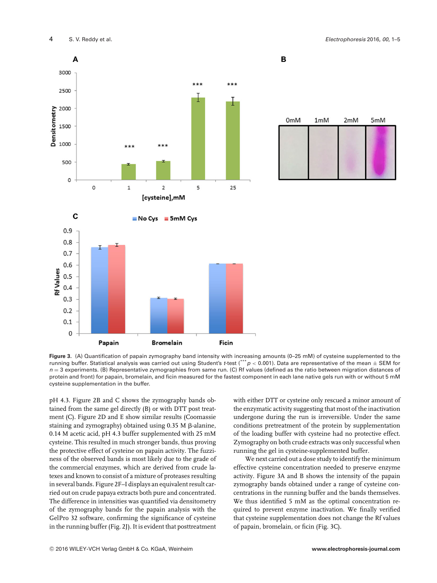

 $0<sub>m</sub>M$  $2mM$  $1mM$ 5mM

B

**Figure 3.** (A) Quantification of papain zymography band intensity with increasing amounts (0–25 mM) of cysteine supplemented to the running buffer. Statistical analysis was carried out using Student's *<sup>t</sup>*-test (\*\*\**<sup>p</sup> <sup>&</sup>lt;* 0.001). Data are representative of the mean <sup>±</sup> SEM for *n* = 3 experiments. (B) Representative zymographies from same run. (C) Rf values (defined as the ratio between migration distances of protein and front) for papain, bromelain, and ficin measured for the fastest component in each lane native gels run with or without 5 mM cysteine supplementation in the buffer.

pH 4.3. Figure 2B and C shows the zymography bands obtained from the same gel directly (B) or with DTT post treatment (C). Figure 2D and E show similar results (Coomassie staining and zymography) obtained using  $0.35$  M  $\beta$ -alanine, 0.14 M acetic acid, pH 4.3 buffer supplemented with 25 mM cysteine. This resulted in much stronger bands, thus proving the protective effect of cysteine on papain activity. The fuzziness of the observed bands is most likely due to the grade of the commercial enzymes, which are derived from crude latexes and known to consist of a mixture of proteases resulting in several bands. Figure 2F–I displays an equivalent result carried out on crude papaya extracts both pure and concentrated. The difference in intensities was quantified via densitometry of the zymography bands for the papain analysis with the GelPro 32 software, confirming the significance of cysteine in the running buffer (Fig. 2J). It is evident that posttreatment

with either DTT or cysteine only rescued a minor amount of the enzymatic activity suggesting that most of the inactivation undergone during the run is irreversible. Under the same conditions pretreatment of the protein by supplementation of the loading buffer with cysteine had no protective effect. Zymography on both crude extracts was only successful when running the gel in cysteine-supplemented buffer.

We next carried out a dose study to identify the minimum effective cysteine concentration needed to preserve enzyme activity. Figure 3A and B shows the intensity of the papain zymography bands obtained under a range of cysteine concentrations in the running buffer and the bands themselves. We thus identified 5 mM as the optimal concentration required to prevent enzyme inactivation. We finally verified that cysteine supplementation does not change the Rf values of papain, bromelain, or ficin (Fig. 3C).